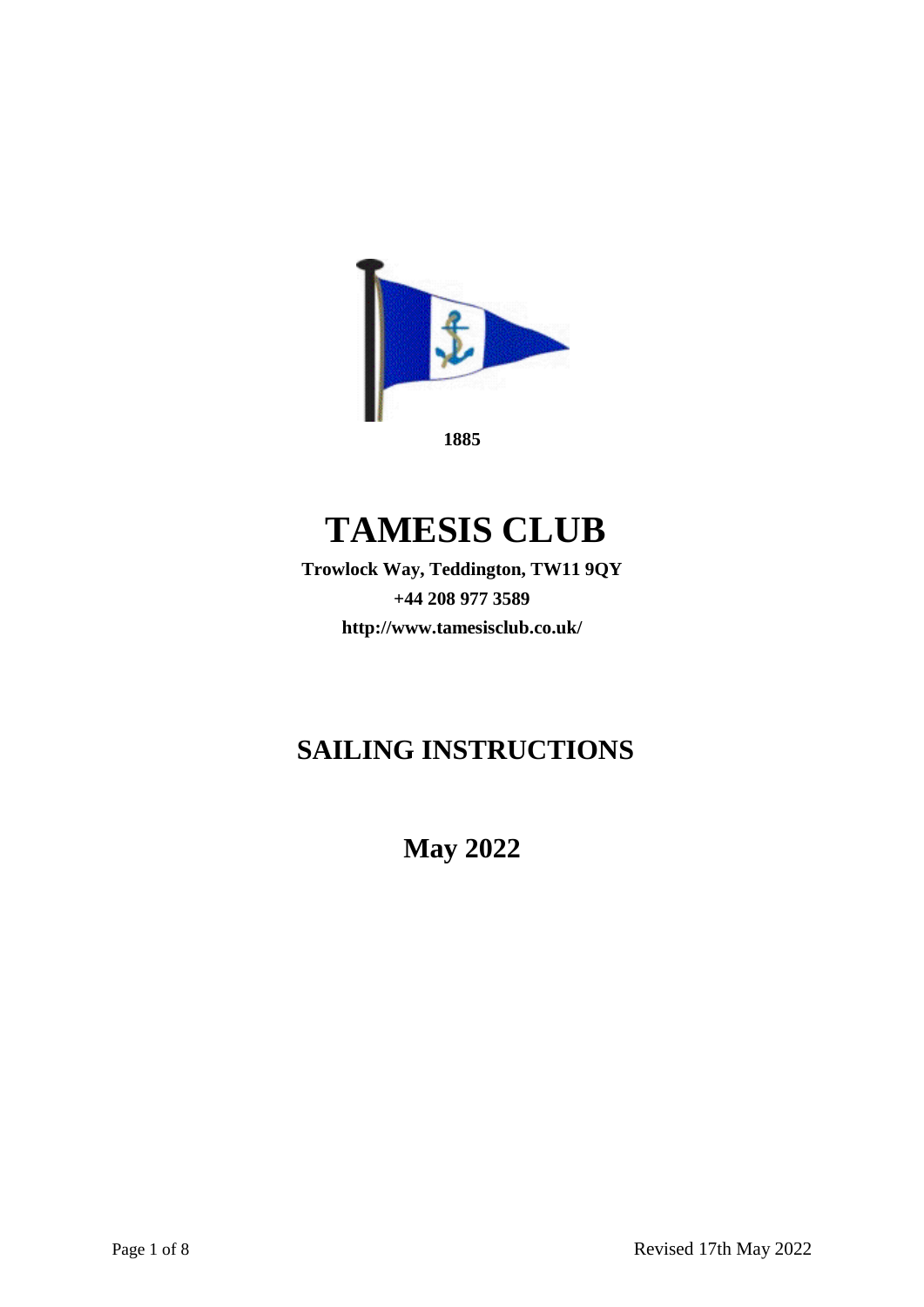

# **TAMESIS CLUB**

**Trowlock Way, Teddington, TW11 9QY +44 208 977 3589 <http://www.tamesisclub.co.uk/>**

## **SAILING INSTRUCTIONS**

**May 2022**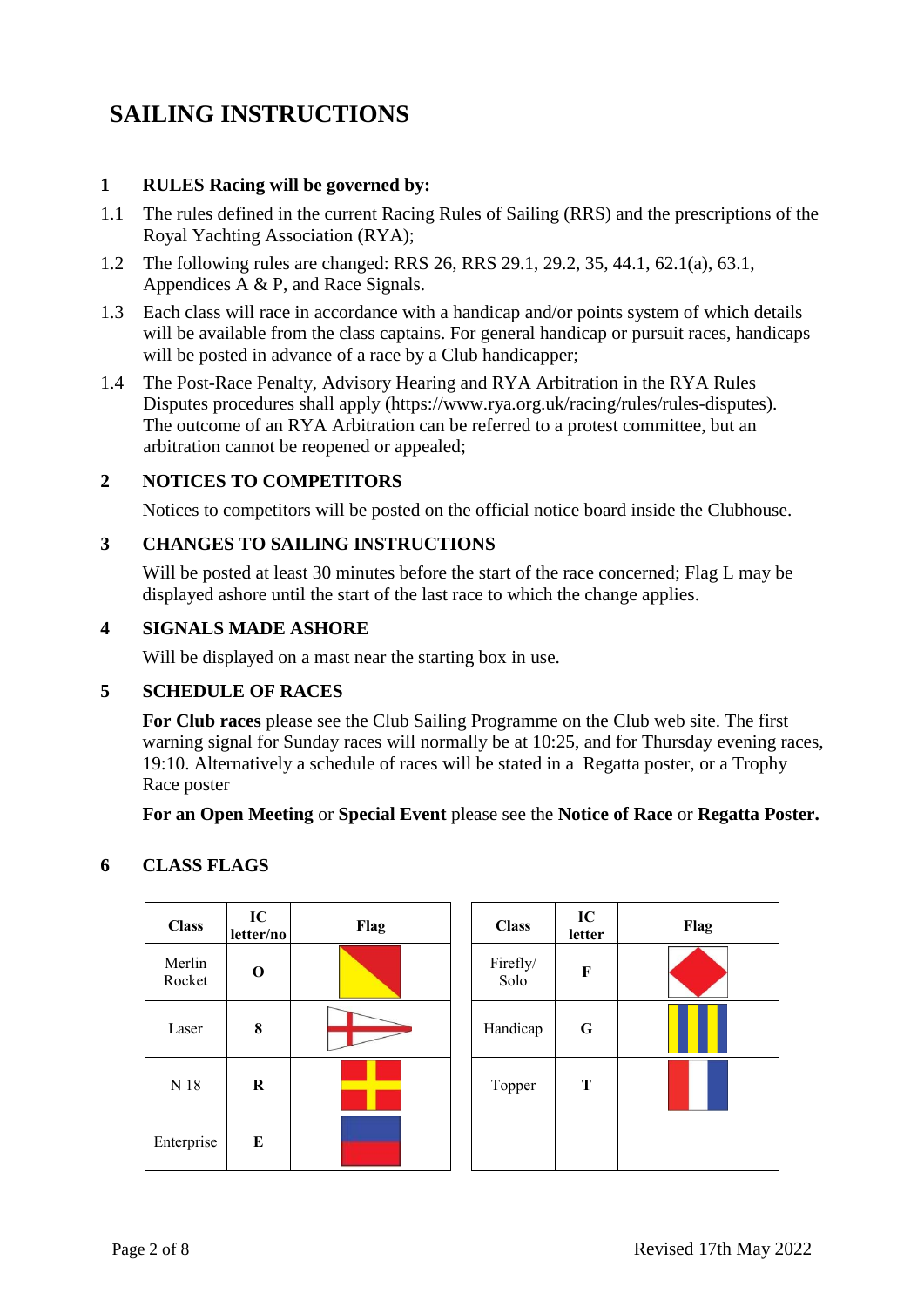## **SAILING INSTRUCTIONS**

#### **1 RULES Racing will be governed by:**

- 1.1 The rules defined in the current Racing Rules of Sailing (RRS) and the prescriptions of the Royal Yachting Association (RYA);
- 1.2 The following rules are changed: RRS 26, RRS 29.1, 29.2, 35, 44.1, 62.1(a), 63.1, Appendices A & P, and Race Signals.
- 1.3 Each class will race in accordance with a handicap and/or points system of which details will be available from the class captains. For general handicap or pursuit races, handicaps will be posted in advance of a race by a Club handicapper;
- 1.4 The Post-Race Penalty, Advisory Hearing and RYA Arbitration in the RYA Rules Disputes procedures shall apply [\(https://www.rya.org.uk/racing/rules/rules-disputes\).](http://www.rya.org.uk/go/rulesdisputes)) The outcome of an RYA Arbitration can be referred to a protest committee, but an arbitration cannot be reopened or appealed;

#### **2 NOTICES TO COMPETITORS**

Notices to competitors will be posted on the official notice board inside the Clubhouse.

#### **3 CHANGES TO SAILING INSTRUCTIONS**

Will be posted at least 30 minutes before the start of the race concerned; Flag L may be displayed ashore until the start of the last race to which the change applies.

#### **4 SIGNALS MADE ASHORE**

Will be displayed on a mast near the starting box in use.

#### **5 SCHEDULE OF RACES**

**For Club races** please see the Club Sailing Programme on the Club web site. The first warning signal for Sunday races will normally be at 10:25, and for Thursday evening races, 19:10. Alternatively a schedule of races will be stated in a Regatta poster, or a Trophy Race poster

**For an Open Meeting** or **Special Event** please see the **Notice of Race** or **Regatta Poster.**

## **6 CLASS FLAGS**

| <b>Class</b>     | IC<br>letter/no | Flag | <b>Class</b>     | IC<br>letter | Flag |
|------------------|-----------------|------|------------------|--------------|------|
| Merlin<br>Rocket | $\mathbf 0$     |      | Firefly/<br>Solo | F            |      |
| Laser            | 8               |      | Handicap         | G            |      |
| $N$ 18           | $\bf R$         |      | Topper           | T            |      |
| Enterprise       | E               |      |                  |              |      |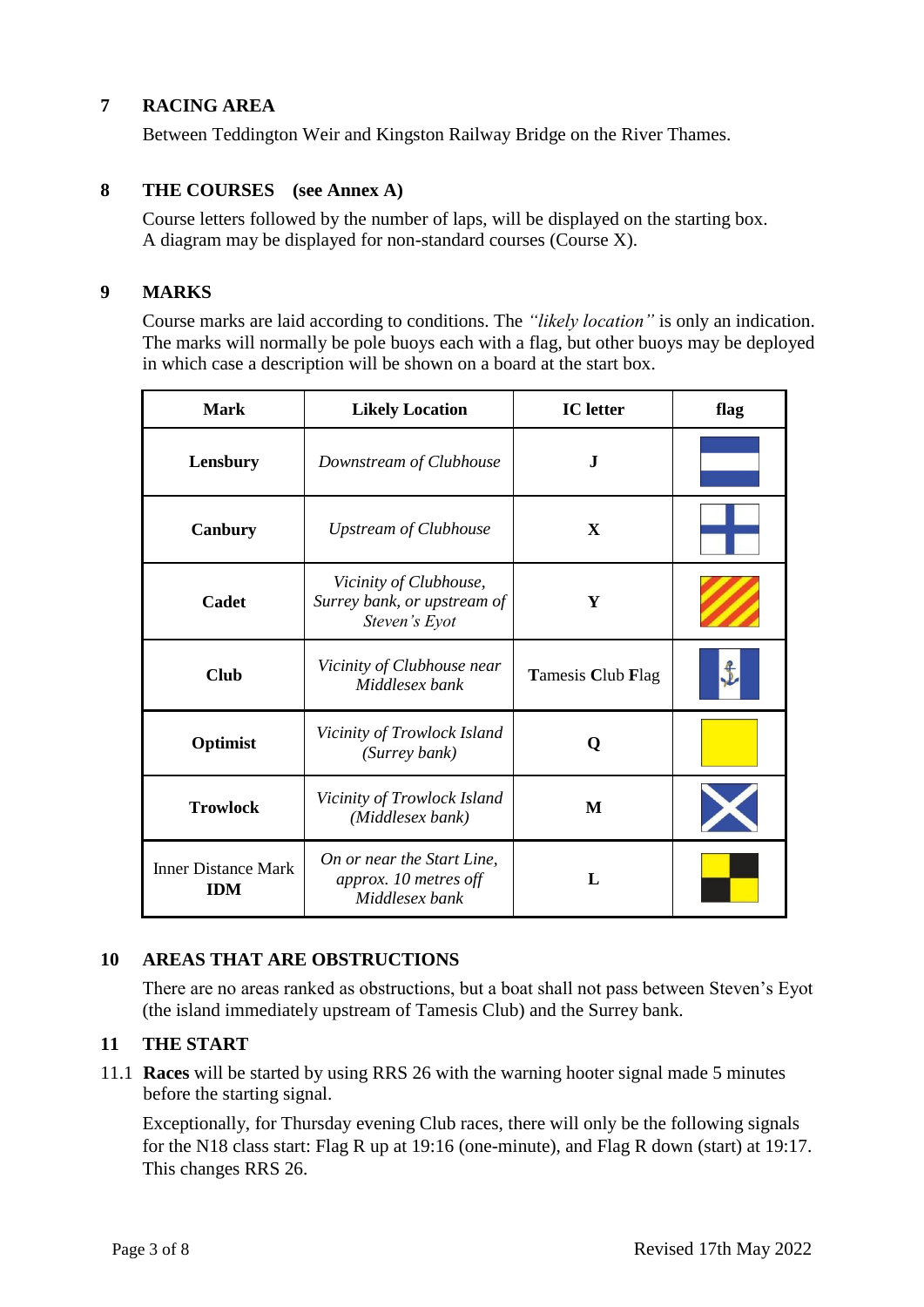#### **7 RACING AREA**

Between Teddington Weir and Kingston Railway Bridge on the River Thames.

#### **8 THE COURSES (see Annex A)**

Course letters followed by the number of laps, will be displayed on the starting box. A diagram may be displayed for non-standard courses (Course X).

#### **9 MARKS**

 $\mathbf{r}$ 

Course marks are laid according to conditions. The *"likely location"* is only an indication. The marks will normally be pole buoys each with a flag, but other buoys may be deployed in which case a description will be shown on a board at the start box.

| <b>Mark</b>                              | <b>Likely Location</b>                                                 | <b>IC</b> letter  | flag |
|------------------------------------------|------------------------------------------------------------------------|-------------------|------|
| Lensbury                                 | Downstream of Clubhouse                                                | J                 |      |
| Canbury                                  | <b>Upstream of Clubhouse</b>                                           | X                 |      |
| Cadet                                    | Vicinity of Clubhouse,<br>Surrey bank, or upstream of<br>Steven's Eyot | Y                 |      |
| <b>Club</b>                              | Vicinity of Clubhouse near<br>Middlesex bank                           | Tamesis Club Flag |      |
| Optimist                                 | Vicinity of Trowlock Island<br>(Surrey bank)                           | O                 |      |
| <b>Trowlock</b>                          | Vicinity of Trowlock Island<br>(Middlesex bank)                        | M                 |      |
| <b>Inner Distance Mark</b><br><b>IDM</b> | On or near the Start Line,<br>approx. 10 metres off<br>Middlesex bank  |                   |      |

#### **10 AREAS THAT ARE OBSTRUCTIONS**

There are no areas ranked as obstructions, but a boat shall not pass between Steven's Eyot (the island immediately upstream of Tamesis Club) and the Surrey bank.

#### **11 THE START**

11.1 **Races** will be started by using RRS 26 with the warning hooter signal made 5 minutes before the starting signal.

Exceptionally, for Thursday evening Club races, there will only be the following signals for the N18 class start: Flag R up at 19:16 (one-minute), and Flag R down (start) at 19:17. This changes RRS 26.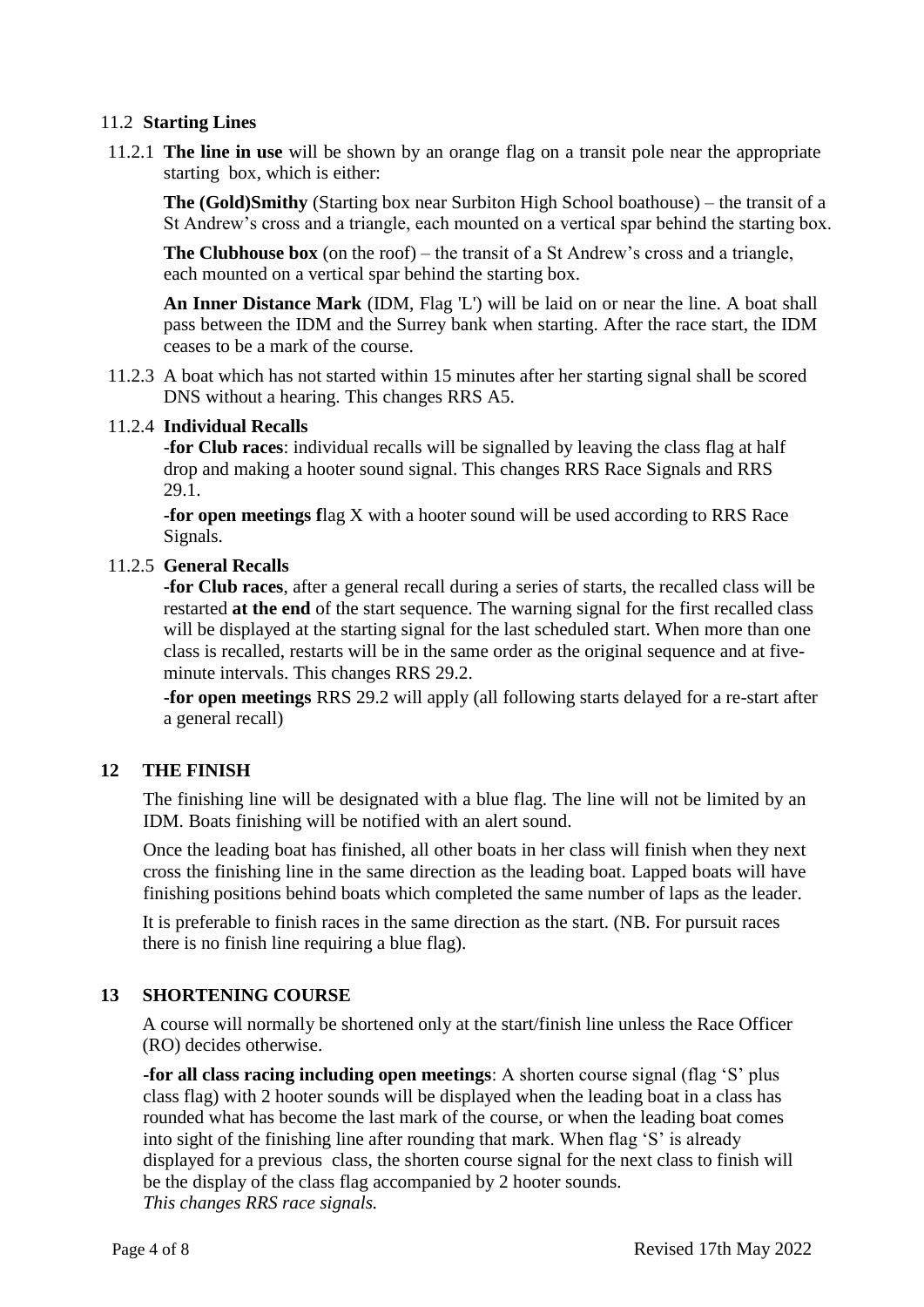#### 11.2 **Starting Lines**

11.2.1 **The line in use** will be shown by an orange flag on a transit pole near the appropriate starting box, which is either:

**The (Gold)Smithy** (Starting box near Surbiton High School boathouse) – the transit of a St Andrew's cross and a triangle, each mounted on a vertical spar behind the starting box.

**The Clubhouse box** (on the roof) – the transit of a St Andrew's cross and a triangle, each mounted on a vertical spar behind the starting box.

**An Inner Distance Mark** (IDM, Flag 'L') will be laid on or near the line. A boat shall pass between the IDM and the Surrey bank when starting. After the race start, the IDM ceases to be a mark of the course.

11.2.3 A boat which has not started within 15 minutes after her starting signal shall be scored DNS without a hearing. This changes RRS A5.

#### 11.2.4 **Individual Recalls**

-**for Club races**: individual recalls will be signalled by leaving the class flag at half drop and making a hooter sound signal. This changes RRS Race Signals and RRS 29.1.

**-for open meetings f**lag X with a hooter sound will be used according to RRS Race Signals.

#### 11.2.5 **General Recalls**

**-for Club races**, after a general recall during a series of starts, the recalled class will be restarted **at the end** of the start sequence. The warning signal for the first recalled class will be displayed at the starting signal for the last scheduled start. When more than one class is recalled, restarts will be in the same order as the original sequence and at fiveminute intervals. This changes RRS 29.2.

**-for open meetings** RRS 29.2 will apply (all following starts delayed for a re-start after a general recall)

#### **12 THE FINISH**

The finishing line will be designated with a blue flag. The line will not be limited by an IDM. Boats finishing will be notified with an alert sound.

Once the leading boat has finished, all other boats in her class will finish when they next cross the finishing line in the same direction as the leading boat. Lapped boats will have finishing positions behind boats which completed the same number of laps as the leader.

It is preferable to finish races in the same direction as the start. (NB. For pursuit races there is no finish line requiring a blue flag).

#### **13 SHORTENING COURSE**

A course will normally be shortened only at the start/finish line unless the Race Officer (RO) decides otherwise.

**-for all class racing including open meetings**: A shorten course signal (flag 'S' plus class flag) with 2 hooter sounds will be displayed when the leading boat in a class has rounded what has become the last mark of the course, or when the leading boat comes into sight of the finishing line after rounding that mark. When flag 'S' is already displayed for a previous class, the shorten course signal for the next class to finish will be the display of the class flag accompanied by 2 hooter sounds. *This changes RRS race signals.*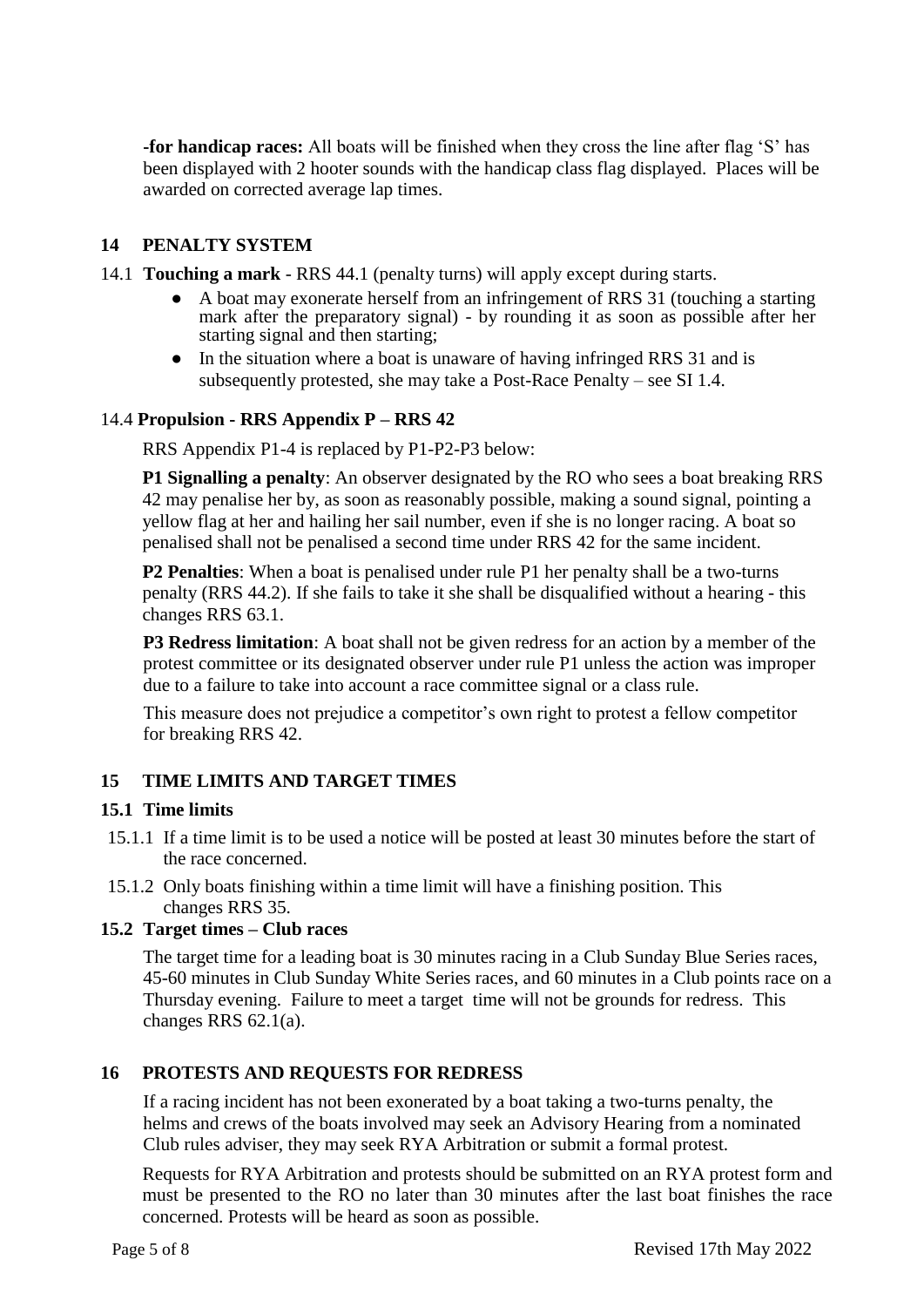**-for handicap races:** All boats will be finished when they cross the line after flag 'S' has been displayed with 2 hooter sounds with the handicap class flag displayed. Places will be awarded on corrected average lap times.

#### **14 PENALTY SYSTEM**

- 14.1 **Touching a mark**  RRS 44.1 (penalty turns) will apply except during starts.
	- A boat may exonerate herself from an infringement of RRS 31 (touching a starting mark after the preparatory signal) - by rounding it as soon as possible after her starting signal and then starting;
	- In the situation where a boat is unaware of having infringed RRS 31 and is subsequently protested, she may take a Post-Race Penalty – see SI 1.4.

#### 14.4 **Propulsion - RRS Appendix P – RRS 42**

RRS Appendix P1-4 is replaced by P1-P2-P3 below:

**P1 Signalling a penalty**: An observer designated by the RO who sees a boat breaking RRS 42 may penalise her by, as soon as reasonably possible, making a sound signal, pointing a yellow flag at her and hailing her sail number, even if she is no longer racing. A boat so penalised shall not be penalised a second time under RRS 42 for the same incident.

**P2 Penalties**: When a boat is penalised under rule P1 her penalty shall be a two-turns penalty (RRS 44.2). If she fails to take it she shall be disqualified without a hearing - this changes RRS 63.1.

**P3 Redress limitation**: A boat shall not be given redress for an action by a member of the protest committee or its designated observer under rule P1 unless the action was improper due to a failure to take into account a race committee signal or a class rule.

This measure does not prejudice a competitor's own right to protest a fellow competitor for breaking RRS 42.

#### **15 TIME LIMITS AND TARGET TIMES**

#### **15.1 Time limits**

- 15.1.1 If a time limit is to be used a notice will be posted at least 30 minutes before the start of the race concerned.
- 15.1.2 Only boats finishing within a time limit will have a finishing position. This changes RRS 35.

#### **15.2 Target times – Club races**

The target time for a leading boat is 30 minutes racing in a Club Sunday Blue Series races, 45-60 minutes in Club Sunday White Series races, and 60 minutes in a Club points race on a Thursday evening. Failure to meet a target time will not be grounds for redress. This changes RRS 62.1(a).

#### **16 PROTESTS AND REQUESTS FOR REDRESS**

If a racing incident has not been exonerated by a boat taking a two-turns penalty, the helms and crews of the boats involved may seek an Advisory Hearing from a nominated Club rules adviser, they may seek RYA Arbitration or submit a formal protest.

Requests for RYA Arbitration and protests should be submitted on an RYA protest form and must be presented to the RO no later than 30 minutes after the last boat finishes the race concerned. Protests will be heard as soon as possible.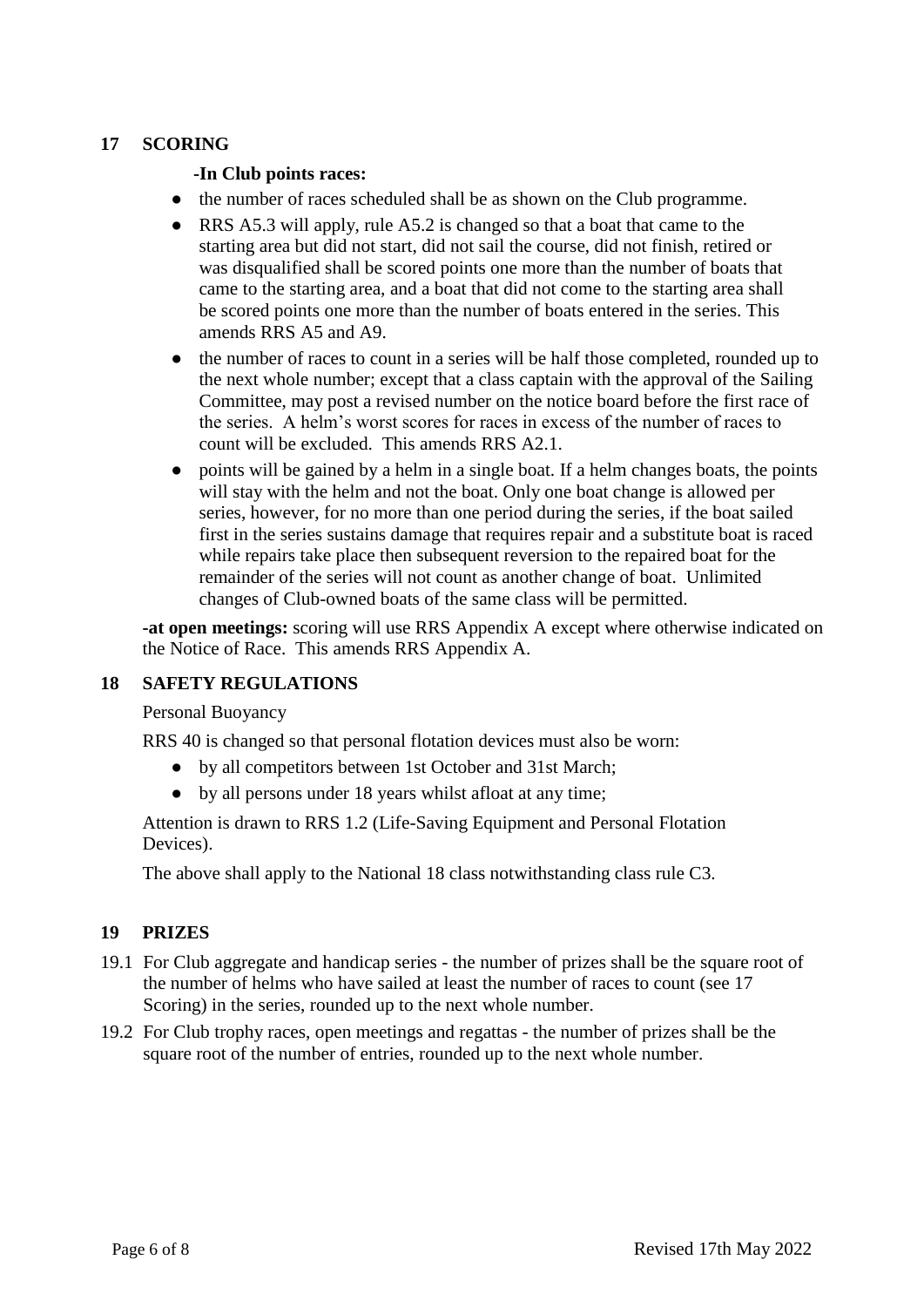#### **17 SCORING**

#### **-In Club points races:**

- the number of races scheduled shall be as shown on the Club programme.
- RRS A5.3 will apply, rule A5.2 is changed so that a boat that came to the starting area but did not start, did not sail the course, did not finish, retired or was disqualified shall be scored points one more than the number of boats that came to the starting area, and a boat that did not come to the starting area shall be scored points one more than the number of boats entered in the series. This amends RRS A5 and A9.
- the number of races to count in a series will be half those completed, rounded up to the next whole number; except that a class captain with the approval of the Sailing Committee, may post a revised number on the notice board before the first race of the series. A helm's worst scores for races in excess of the number of races to count will be excluded. This amends RRS A2.1.
- points will be gained by a helm in a single boat. If a helm changes boats, the points will stay with the helm and not the boat. Only one boat change is allowed per series, however, for no more than one period during the series, if the boat sailed first in the series sustains damage that requires repair and a substitute boat is raced while repairs take place then subsequent reversion to the repaired boat for the remainder of the series will not count as another change of boat. Unlimited changes of Club-owned boats of the same class will be permitted.

**-at open meetings:** scoring will use RRS Appendix A except where otherwise indicated on the Notice of Race. This amends RRS Appendix A.

#### **18 SAFETY REGULATIONS**

Personal Buoyancy

RRS 40 is changed so that personal flotation devices must also be worn:

- by all competitors between 1st October and 31st March;
- by all persons under 18 years whilst afloat at any time;

Attention is drawn to RRS 1.2 (Life-Saving Equipment and Personal Flotation Devices).

The above shall apply to the National 18 class notwithstanding class rule C3.

#### **19 PRIZES**

- 19.1 For Club aggregate and handicap series the number of prizes shall be the square root of the number of helms who have sailed at least the number of races to count (see 17 Scoring) in the series, rounded up to the next whole number.
- 19.2 For Club trophy races, open meetings and regattas the number of prizes shall be the square root of the number of entries, rounded up to the next whole number.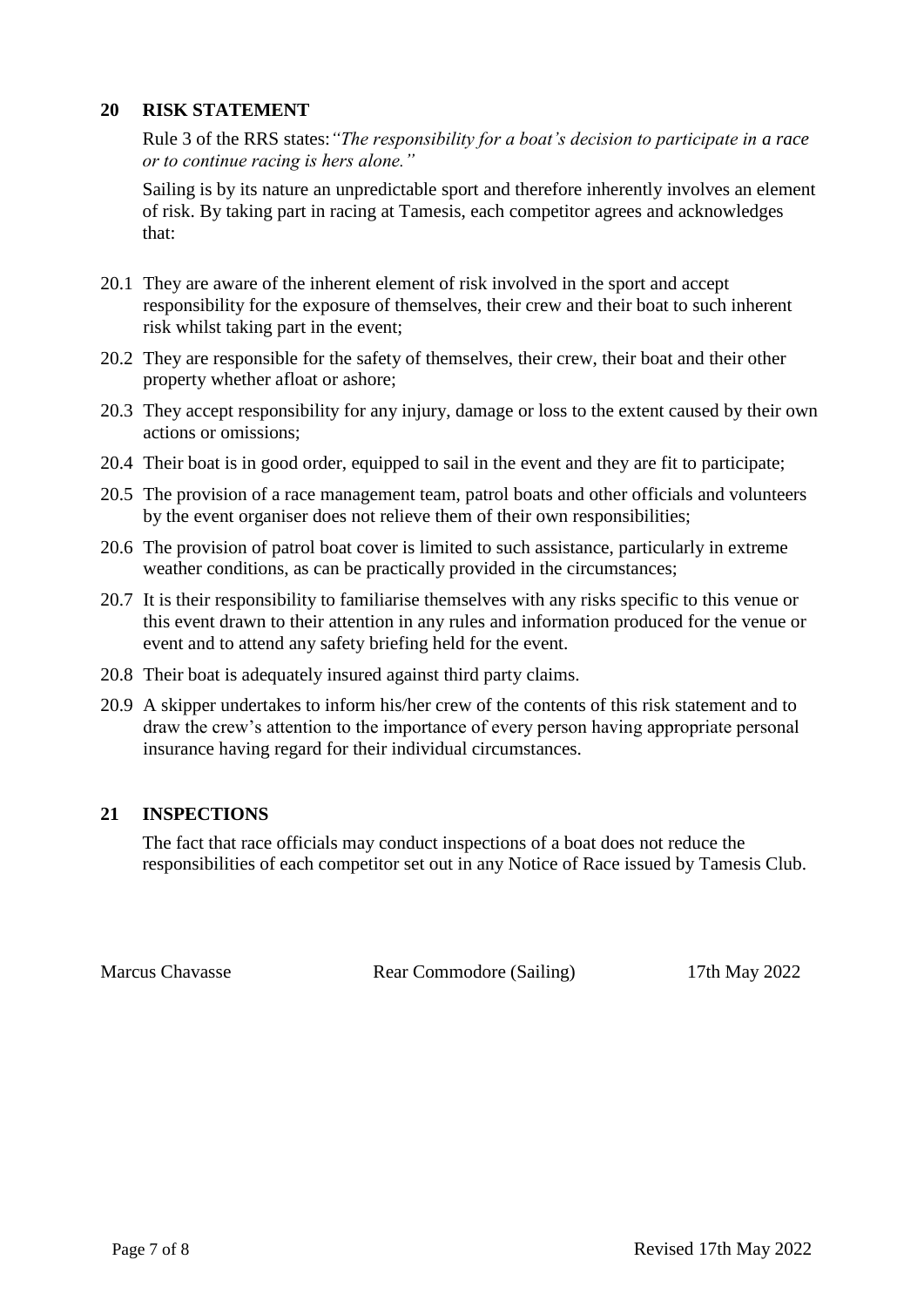#### **20 RISK STATEMENT**

Rule 3 of the RRS states:*"The responsibility for a boat's decision to participate in a race or to continue racing is hers alone."*

Sailing is by its nature an unpredictable sport and therefore inherently involves an element of risk. By taking part in racing at Tamesis, each competitor agrees and acknowledges that:

- 20.1 They are aware of the inherent element of risk involved in the sport and accept responsibility for the exposure of themselves, their crew and their boat to such inherent risk whilst taking part in the event;
- 20.2 They are responsible for the safety of themselves, their crew, their boat and their other property whether afloat or ashore;
- 20.3 They accept responsibility for any injury, damage or loss to the extent caused by their own actions or omissions;
- 20.4 Their boat is in good order, equipped to sail in the event and they are fit to participate;
- 20.5 The provision of a race management team, patrol boats and other officials and volunteers by the event organiser does not relieve them of their own responsibilities;
- 20.6 The provision of patrol boat cover is limited to such assistance, particularly in extreme weather conditions, as can be practically provided in the circumstances;
- 20.7 It is their responsibility to familiarise themselves with any risks specific to this venue or this event drawn to their attention in any rules and information produced for the venue or event and to attend any safety briefing held for the event.
- 20.8 Their boat is adequately insured against third party claims.
- 20.9 A skipper undertakes to inform his/her crew of the contents of this risk statement and to draw the crew's attention to the importance of every person having appropriate personal insurance having regard for their individual circumstances.

#### **21 INSPECTIONS**

The fact that race officials may conduct inspections of a boat does not reduce the responsibilities of each competitor set out in any Notice of Race issued by Tamesis Club.

Marcus Chavasse Rear Commodore (Sailing) 17th May 2022